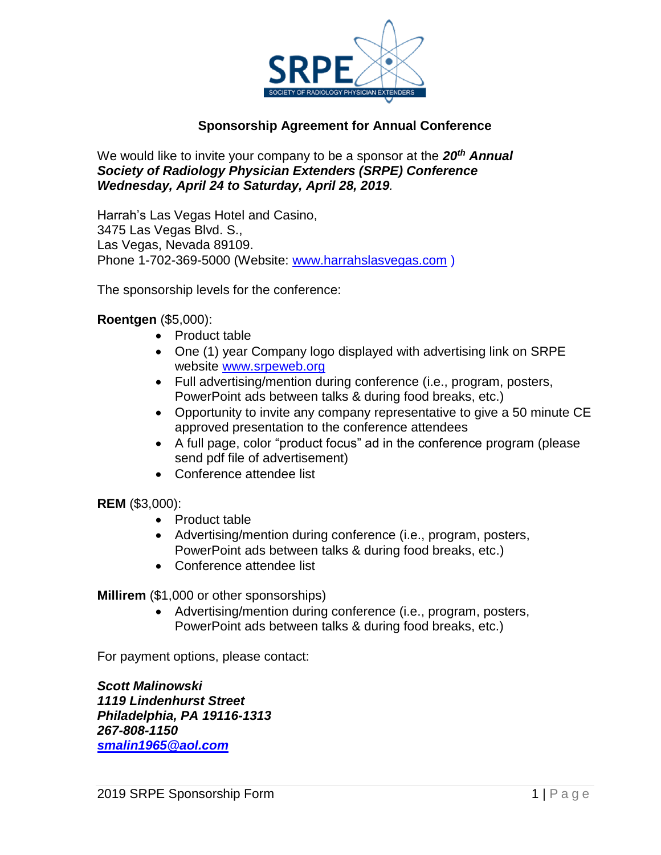

## **Sponsorship Agreement for Annual Conference**

We would like to invite your company to be a sponsor at the *20th Annual Society of Radiology Physician Extenders (SRPE) Conference Wednesday, April 24 to Saturday, April 28, 2019.*

Harrah's Las Vegas Hotel and Casino, 3475 Las Vegas Blvd. S., Las Vegas, Nevada 89109. Phone 1-702-369-5000 (Website: [www.harrahslasvegas.com](http://www.harrahslasvegas.com/) )

The sponsorship levels for the conference:

### **Roentgen** (\$5,000):

- Product table
- One (1) year Company logo displayed with advertising link on SRPE website [www.srpeweb.org](http://www.srpeweb.org/)
- Full advertising/mention during conference (i.e., program, posters, PowerPoint ads between talks & during food breaks, etc.)
- Opportunity to invite any company representative to give a 50 minute CE approved presentation to the conference attendees
- A full page, color "product focus" ad in the conference program (please send pdf file of advertisement)
- Conference attendee list

### **REM** (\$3,000):

- Product table
- Advertising/mention during conference (i.e., program, posters, PowerPoint ads between talks & during food breaks, etc.)
- Conference attendee list

**Millirem** (\$1,000 or other sponsorships)

 Advertising/mention during conference (i.e., program, posters, PowerPoint ads between talks & during food breaks, etc.)

For payment options, please contact:

*Scott Malinowski 1119 Lindenhurst Street Philadelphia, PA 19116-1313 267-808-1150 [smalin1965@aol.com](mailto:smalin1965@aol.com)*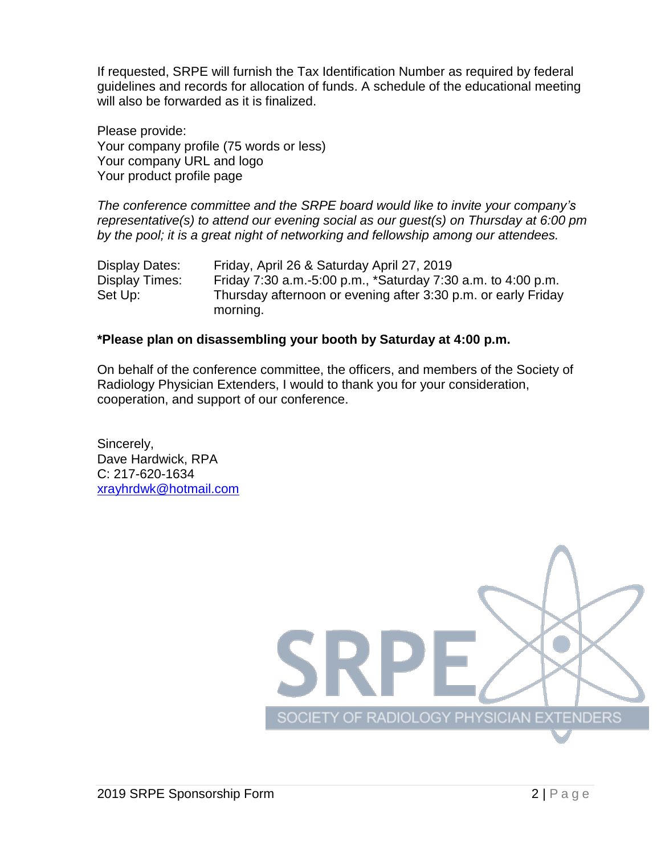If requested, SRPE will furnish the Tax Identification Number as required by federal guidelines and records for allocation of funds. A schedule of the educational meeting will also be forwarded as it is finalized.

Please provide: Your company profile (75 words or less) Your company URL and logo Your product profile page

*The conference committee and the SRPE board would like to invite your company's representative(s) to attend our evening social as our guest(s) on Thursday at 6:00 pm by the pool; it is a great night of networking and fellowship among our attendees.*

Display Dates: Friday, April 26 & Saturday April 27, 2019 Display Times: Friday 7:30 a.m.-5:00 p.m.,  $*$ Saturday 7:30 a.m. to 4:00 p.m. Set Up: Thursday afternoon or evening after 3:30 p.m. or early Friday morning.

### **\*Please plan on disassembling your booth by Saturday at 4:00 p.m.**

On behalf of the conference committee, the officers, and members of the Society of Radiology Physician Extenders, I would to thank you for your consideration, cooperation, and support of our conference.

Sincerely, Dave Hardwick, RPA C: 217-620-1634 [xrayhrdwk@hotmail.com](mailto:xrayhrdwk@hotmail.com)